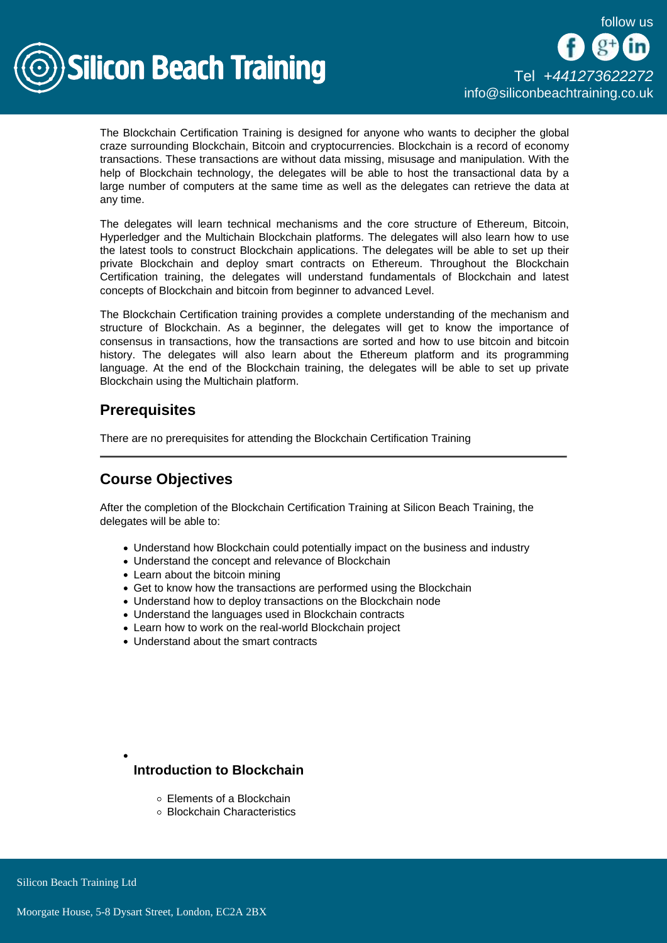

The Blockchain Certification Training is designed for anyone who wants to decipher the global craze surrounding Blockchain, Bitcoin and cryptocurrencies. Blockchain is a record of economy transactions. These transactions are without data missing, misusage and manipulation. With the help of Blockchain technology, the delegates will be able to host the transactional data by a large number of computers at the same time as well as the delegates can retrieve the data at any time.

The delegates will learn technical mechanisms and the core structure of Ethereum, Bitcoin, Hyperledger and the Multichain Blockchain platforms. The delegates will also learn how to use the latest tools to construct Blockchain applications. The delegates will be able to set up their private Blockchain and deploy smart contracts on Ethereum. Throughout the Blockchain Certification training, the delegates will understand fundamentals of Blockchain and latest concepts of Blockchain and bitcoin from beginner to advanced Level.

The Blockchain Certification training provides a complete understanding of the mechanism and structure of Blockchain. As a beginner, the delegates will get to know the importance of consensus in transactions, how the transactions are sorted and how to use bitcoin and bitcoin history. The delegates will also learn about the Ethereum platform and its programming language. At the end of the Blockchain training, the delegates will be able to set up private Blockchain using the Multichain platform.

## **Prerequisites**

There are no prerequisites for attending the Blockchain Certification Training

# Course Objectives

After the completion of the Blockchain Certification Training at Silicon Beach Training, the delegates will be able to:

- Understand how Blockchain could potentially impact on the business and industry
- Understand the concept and relevance of Blockchain
- Learn about the bitcoin mining
- Get to know how the transactions are performed using the Blockchain
- Understand how to deploy transactions on the Blockchain node
- Understand the languages used in Blockchain contracts
- Learn how to work on the real-world Blockchain project
- Understand about the smart contracts

Introduction to Blockchain

- Elements of a Blockchain
- Blockchain Characteristics

Silicon Beach Training Ltd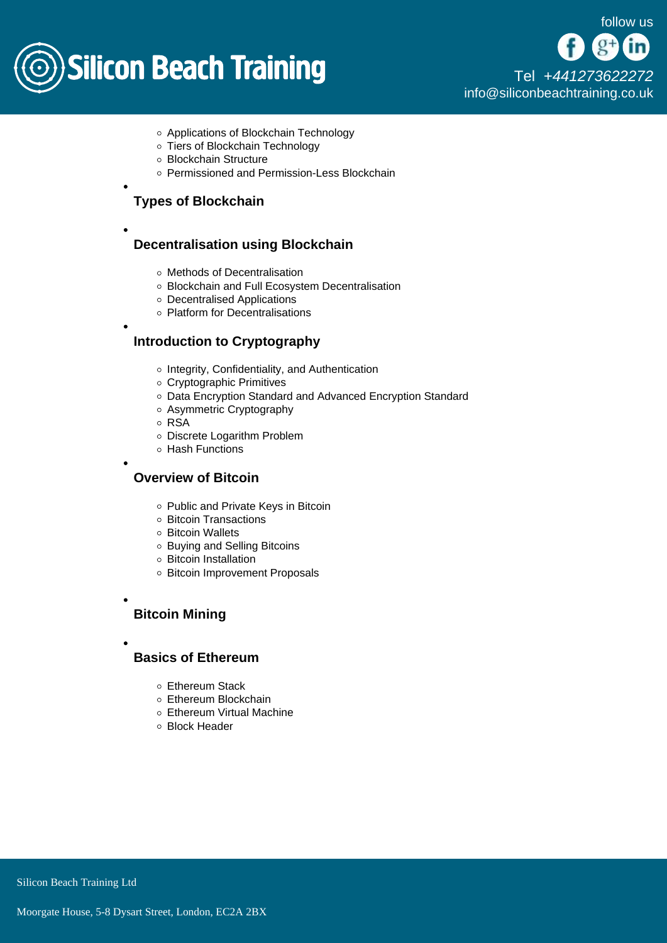

[Tel +44](tel:+441273622272)1273622272 [info@siliconbeachtraining.co.uk](/var/www/html/siliconbeachtraining.co.uk/public/mailTo:info@siliconbeachtraining.co.uk)

- Applications of Blockchain Technology
- Tiers of Blockchain Technology
- Blockchain Structure
- Permissioned and Permission-Less Blockchain

Types of Blockchain

Decentralisation using Blockchain

- Methods of Decentralisation
- Blockchain and Full Ecosystem Decentralisation
- Decentralised Applications
- o Platform for Decentralisations

### Introduction to Cryptography

- o Integrity, Confidentiality, and Authentication
- Cryptographic Primitives
- Data Encryption Standard and Advanced Encryption Standard
- Asymmetric Cryptography
- RSA
- Discrete Logarithm Problem
- Hash Functions

Overview of Bitcoin

- o Public and Private Keys in Bitcoin
- Bitcoin Transactions
- o Bitcoin Wallets
- Buying and Selling Bitcoins
- Bitcoin Installation
- o Bitcoin Improvement Proposals

Bitcoin Mining

Basics of Ethereum

- Ethereum Stack
- Ethereum Blockchain
- Ethereum Virtual Machine
- Block Header

Silicon Beach Training Ltd